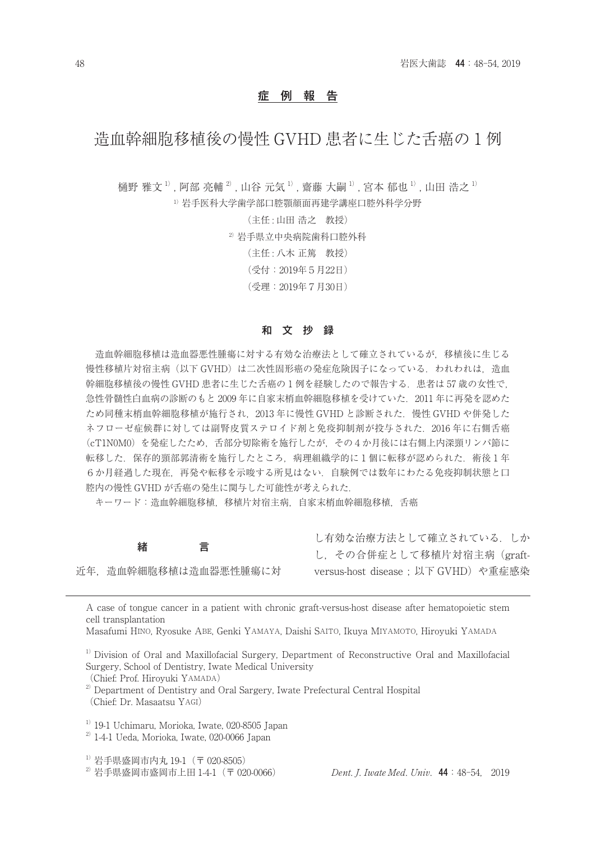## 症 例 報 告

## 造血幹細胞移植後の慢性 GVHD 患者に生じた舌癌の 1 例

樋野 雅文<sup>1)</sup>, 阿部 亮輔 <sup>2)</sup>, 山谷 元気 1<sup>)</sup>, 齋藤 大嗣 <sup>1)</sup>, 宮本 郁也 <sup>1)</sup>, 山田 浩之 <sup>1)</sup>

1)岩手医科大学歯学部口腔顎顔面再建学講座口腔外科学分野

(主任 : 山田 浩之 教授)

2)岩手県立中央病院歯科口腔外科

- (主任 : 八木 正篤 教授)
- (受付:2019年5月22日)

(受理:2019年7月30日)

#### 和 文 抄 録

造血幹細胞移植は造血器悪性腫瘍に対する有効な治療法として確立されているが,移植後に生じる 慢性移植片対宿主病(以下 GVHD)は二次性固形癌の発症危険因子になっている.われわれは,造血 幹細胞移植後の慢性 GVHD 患者に生じた舌癌の1例を経験したので報告する.患者は 57 歳の女性で, 急性骨髄性白血病の診断のもと 2009 年に自家末梢血幹細胞移植を受けていた.2011 年に再発を認めた ため同種末梢血幹細胞移植が施行され,2013 年に慢性 GVHD と診断された.慢性 GVHD や併発した ネフローゼ症候群に対しては副腎皮質ステロイド剤と免疫抑制剤が投与された. 2016年に右側舌癌 (cT1N0M0)を発症したため、舌部分切除術を施行したが、その4か月後には右側上内深頸リンパ節に 転移した. 保存的頸部郭清術を施行したところ. 病理組織学的に1個に転移が認められた. 術後1年 6か月経過した現在,再発や転移を示唆する所見はない.自験例では数年にわたる免疫抑制状態と口 腔内の慢性 GVHD が舌癌の発生に関与した可能性が考えられた.

キーワード:造血幹細胞移植,移植片対宿主病,自家末梢血幹細胞移植,舌癌

緒 言 近年,造血幹細胞移植は造血器悪性腫瘍に対 し有効な治療方法として確立されている.しか し,その合併症として移植片対宿主病(graftversus-host disease; 以下 GVHD) や重症感染

A case of tongue cancer in a patient with chronic graft-versus-host disease after hematopoietic stem cell transplantation

Masafumi HINO, Ryosuke ABE, Genki YAMAYA, Daishi SAITO, Ikuya MIYAMOTO, Hiroyuki YAMADA

<sup>1)</sup> Division of Oral and Maxillofacial Surgery, Department of Reconstructive Oral and Maxillofacial Surgery, School of Dentistry, Iwate Medical University

(Chief: Prof. Hiroyuki YAMADA)

 $^{2)}$  Department of Dentistry and Oral Sargery, Iwate Prefectural Central Hospital (Chief: Dr. Masaatsu YAGI)

 $1)$  19-1 Uchimaru, Morioka, Iwate, 020-8505 Japan

 $^{2)}$  1-4-1 Ueda, Morioka, Iwate, 020-0066 Japan

 $^{1)}$ 岩手県盛岡市内丸 19-1 (〒 020-8505)

 $2^{2}$  岩手県盛岡市盛岡市上田 1-4-1 (〒 020-0066) Dent. J. Iwate Med. Univ. 44:48-54, 2019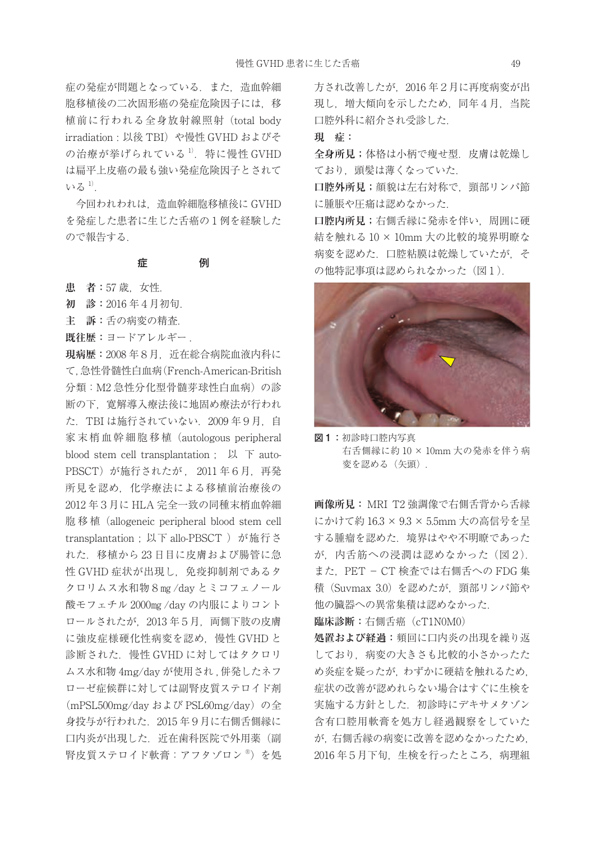症の発症が問題となっている.また,造血幹細 胞移植後の二次固形癌の発症危険因子には 移 植前に行われる全身放射線照射(total body irradiation : 以後 TBI) や慢性 GVHD およびそ の治療が挙げられている $1$ . 特に慢性 GVHD は扁平上皮癌の最も強い発症危険因子とされて  $V^2 \delta^{11}$ .

今回われわれは,造血幹細胞移植後に GVHD を発症した患者に生じた舌癌の1例を経験した ので報告する.

## 症 例

**患 者:**57 歳,女性.

**初 診:**2016 年4月初旬.

**主 訴:**舌の病変の精査.

**既往歴:**ヨードアレルギー .

**現病歴:**2008 年8月,近在総合病院血液内科に て,急性骨髄性白血病(French-American-British 分類:M2 急性分化型骨髄芽球性白血病) の診 断の下,寛解導入療法後に地固め療法が行われ た.TBI は施行されていない.2009 年9月,自 家末梢血幹細胞移植 (autologous peripheral blood stem cell transplantation : 以 下 auto-PBSCT)が施行されたが, 2011年6月, 再発 所見を認め,化学療法による移植前治療後の 2012 年3月に HLA 完全一致の同種末梢血幹細 胞 移 植(allogeneic peripheral blood stem cell transplantation: 以下 allo-PBSCT )が施行さ れた.移植から 23 日目に皮膚および腸管に急 性 GVHD 症状が出現し、免疫抑制剤であるタ クロリムス水和物8㎎ /day とミコフェノール 酸モフェチル 2000㎎ /day の内服によりコント ロールされたが、2013年5月、両側下肢の皮膚 に強皮症様硬化性病変を認め,慢性 GVHD と 診断された.慢性 GVHD に対してはタクロリ ムス水和物 4mg/day が使用され , 併発したネフ ローゼ症候群に対しては副腎皮質ステロイド剤 (mPSL500mg/day および PSL60mg/day) の全 身投与が行われた.2015 年9月に右側舌側縁に 口内炎が出現した.近在歯科医院で外用薬(副 腎皮質ステロイド軟膏:アフタゾロン ®)を処 方され改善したが,2016 年2月に再度病変が出 現し,増大傾向を示したため,同年4月,当院 口腔外科に紹介され受診した.

**現 症:**

**全身所見;**体格は小柄で痩せ型.皮膚は乾燥し ており. 頭髪は薄くなっていた.

**口腔外所見;**顔貌は左右対称で,頸部リンパ節 に腫脹や圧痛は認めなかった.

**口腔内所見;**右側舌縁に発赤を伴い,周囲に硬 結を触れる 10 × 10mm 大の比較的境界明瞭な 病変を認めた.口腔粘膜は乾燥していたが,そ の他特記事項は認められなかった (図1).



図1:初診時口腔内写真 右舌側縁に約 10 × 10mm 大の発赤を伴う病 変を認める (矢頭).

**画像所見:** MRI T2 強調像で右側舌背から舌縁 にかけて約 16.3 × 9.3 × 5.5mm 大の高信号を呈 する腫瘤を認めた.境界はやや不明瞭であった が,内舌筋への浸潤は認めなかった(図2). また,PET − CT 検査では右側舌への FDG 集 積(Suvmax 3.0) を認めたが,頸部リンパ節や 他の臓器への異常集積は認めなかった.

**臨床診断:**右側舌癌(cT1N0M0)

**処置および経過:**頻回に口内炎の出現を繰り返 しており、病変の大きさも比較的小さかったた め炎症を疑ったが,わずかに硬結を触れるため, 症状の改善が認めれらない場合はすぐに生検を 実施する方針とした.初診時にデキサメタゾン 含有口腔用軟膏を処方し経過観察をしていた が,右側舌縁の病変に改善を認めなかったため, 2016 年5月下旬,生検を行ったところ,病理組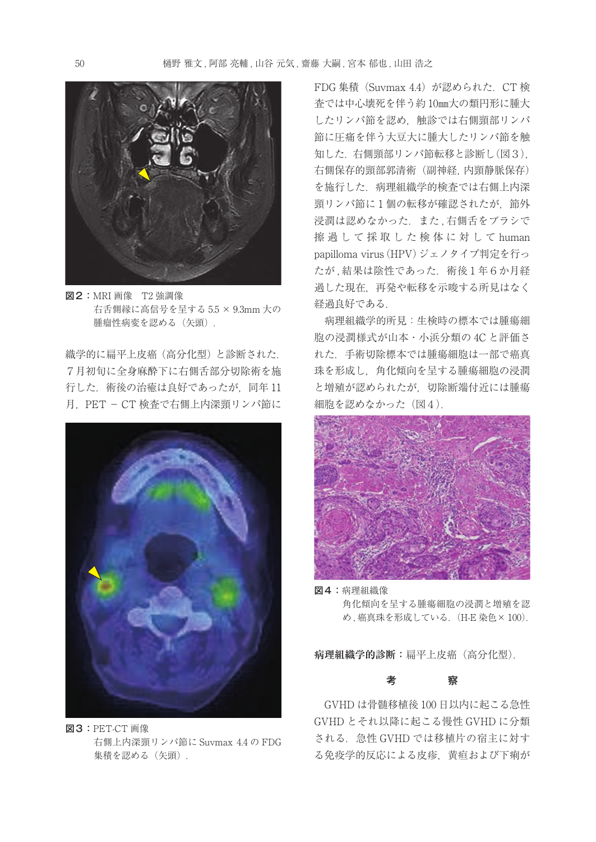

図2:MRI 画像 T2 強調像 右舌側縁に高信号を呈する 5.5 × 9.3mm 大の 腫瘤性病変を認める(矢頭).

織学的に扁平上皮癌(高分化型)と診断された. 7月初旬に全身麻酔下に右側舌部分切除術を施 行した.術後の治癒は良好であったが,同年 11 月, PET - CT 検査で右側上内深頸リンパ節に



図3:PET-CT 画像 右側上内深頸リンパ節に Suvmax 4.4 の FDG 集積を認める (矢頭)

FDG 集積 (Suvmax 4.4) が認められた. CT 検 査では中心壊死を伴う約 10㎜大の類円形に腫大 したリンパ節を認め,触診では右側頸部リンパ 節に圧痛を伴う大豆大に腫大したリンパ節を触 知した.右側頸部リンパ節転移と診断し(図3), 右側保存的頸部郭清術(副神経,内頸静脈保存) を施行した.病理組織学的検査では右側上内深 頸リンパ節に1個の転移が確認されたが、節外 浸潤は認めなかった. また、右側舌をブラシで 擦 過 し て 採 取 し た 検 体 に 対 し て human papilloma virus (HPV) ジェノタイプ判定を行っ たが,結果は陰性であった. 術後1年6か月経 過した現在,再発や転移を示唆する所見はなく 経過良好である.

病理組織学的所見:生検時の標本では腫瘍細 胞の浸潤様式が山本・小浜分類の 4C と評価さ れた.手術切除標本では腫瘍細胞は一部で癌真 珠を形成し,角化傾向を呈する腫瘍細胞の浸潤 と増殖が認められたが,切除断端付近には腫瘍 細胞を認めなかった (図4).



図4:病理組織像 角化傾向を呈する腫瘍細胞の浸潤と増殖を認 め. 癌真珠を形成している. (H-E 染色× 100).

**病理組織学的診断:**扁平上皮癌(高分化型).

#### 考 察

GVHD は骨髄移植後 100 日以内に起こる急性 GVHD とそれ以降に起こる慢性 GVHD に分類 される.急性 GVHD では移植片の宿主に対す る免疫学的反応による皮疹,黄疸および下痢が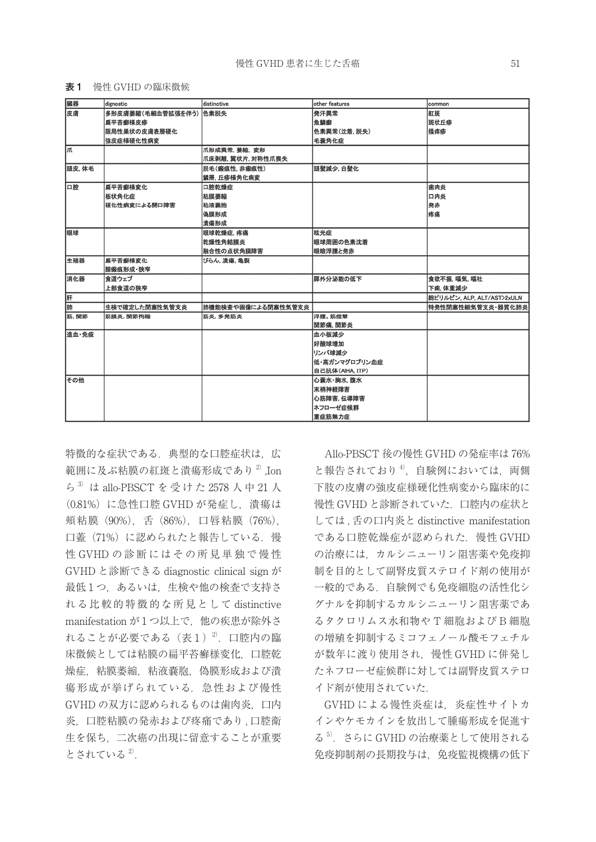#### 表1 慢性 GVHD の臨床徴候

| 皮膚<br>発汗異常<br>多形皮膚萎縮(毛細血管拡張を伴う) 色素脱失<br>紅斑<br>魚鱗癬<br>斑状丘疹<br>扁平苔癣様皮疹<br>播痒疹<br>色素異常(沈着,脱失)<br>限局性巣状の皮膚表層硬化<br>強皮症様硬化性病変<br>毛囊角化症<br>爪<br>爪形成異常,萎縮, 変形<br> 爪床剥離, 翼状片, 対称性爪喪失<br>頭皮,体毛<br>脱毛(瘢痕性,非瘢痕性)<br>頭髮減少, 白髮化<br>蟹屑, 丘疹様角化病变<br>口腔<br>扁平苔癣様変化<br>口腔乾燥症<br>歯肉炎<br>板状角化症<br>粘膜萎縮<br>口内炎<br>粘液囊胞<br>発赤<br>硬化性病変による開口障害<br>疼痛<br>偽膜形成<br>潰瘍形成<br>眼球<br>眩光症<br>眼球乾燥症,疼痛<br>乾燥性角結膜炎<br>眼球周囲の色素沈着<br>眼瞼浮腫と発赤<br>融合性の点状角膜障害<br>生殖器<br>扁平苔癣横变化<br>びらん、清痛、亀裂<br>膣瘢痕形成・狭窄<br>消化器<br>膵外分泌能の低下<br>食道ウェブ<br>食欲不振, 嘔気, 嘔吐<br>上部食道の狭窄<br>下痢, 体重減少<br>肝<br>総ビリルビン, ALP, ALT/AST>2xULN<br>肺<br>生検で確定した閉塞性気管支炎<br>肺機能検査や画像による閉塞性気管支炎<br>筋. 関節<br>浮腫、筋痙攣<br>筋膜炎, 関節拘縮<br>筋炎,多発筋炎<br>関節痛, 関節炎<br>造血·免疫<br>血小板減少<br>好酸球增加<br>リンパ球滅少 | 臓器 | dignostic | distinctive | other features | common            |
|-------------------------------------------------------------------------------------------------------------------------------------------------------------------------------------------------------------------------------------------------------------------------------------------------------------------------------------------------------------------------------------------------------------------------------------------------------------------------------------------------------------------------------------------------------------------------------------------------------------------------------------------------------------------------------------------------------------------|----|-----------|-------------|----------------|-------------------|
|                                                                                                                                                                                                                                                                                                                                                                                                                                                                                                                                                                                                                                                                                                                   |    |           |             |                |                   |
|                                                                                                                                                                                                                                                                                                                                                                                                                                                                                                                                                                                                                                                                                                                   |    |           |             |                |                   |
|                                                                                                                                                                                                                                                                                                                                                                                                                                                                                                                                                                                                                                                                                                                   |    |           |             |                |                   |
|                                                                                                                                                                                                                                                                                                                                                                                                                                                                                                                                                                                                                                                                                                                   |    |           |             |                |                   |
|                                                                                                                                                                                                                                                                                                                                                                                                                                                                                                                                                                                                                                                                                                                   |    |           |             |                |                   |
|                                                                                                                                                                                                                                                                                                                                                                                                                                                                                                                                                                                                                                                                                                                   |    |           |             |                |                   |
|                                                                                                                                                                                                                                                                                                                                                                                                                                                                                                                                                                                                                                                                                                                   |    |           |             |                |                   |
|                                                                                                                                                                                                                                                                                                                                                                                                                                                                                                                                                                                                                                                                                                                   |    |           |             |                |                   |
|                                                                                                                                                                                                                                                                                                                                                                                                                                                                                                                                                                                                                                                                                                                   |    |           |             |                |                   |
|                                                                                                                                                                                                                                                                                                                                                                                                                                                                                                                                                                                                                                                                                                                   |    |           |             |                |                   |
|                                                                                                                                                                                                                                                                                                                                                                                                                                                                                                                                                                                                                                                                                                                   |    |           |             |                |                   |
|                                                                                                                                                                                                                                                                                                                                                                                                                                                                                                                                                                                                                                                                                                                   |    |           |             |                |                   |
|                                                                                                                                                                                                                                                                                                                                                                                                                                                                                                                                                                                                                                                                                                                   |    |           |             |                |                   |
|                                                                                                                                                                                                                                                                                                                                                                                                                                                                                                                                                                                                                                                                                                                   |    |           |             |                |                   |
|                                                                                                                                                                                                                                                                                                                                                                                                                                                                                                                                                                                                                                                                                                                   |    |           |             |                |                   |
|                                                                                                                                                                                                                                                                                                                                                                                                                                                                                                                                                                                                                                                                                                                   |    |           |             |                |                   |
|                                                                                                                                                                                                                                                                                                                                                                                                                                                                                                                                                                                                                                                                                                                   |    |           |             |                |                   |
|                                                                                                                                                                                                                                                                                                                                                                                                                                                                                                                                                                                                                                                                                                                   |    |           |             |                |                   |
|                                                                                                                                                                                                                                                                                                                                                                                                                                                                                                                                                                                                                                                                                                                   |    |           |             |                |                   |
|                                                                                                                                                                                                                                                                                                                                                                                                                                                                                                                                                                                                                                                                                                                   |    |           |             |                |                   |
|                                                                                                                                                                                                                                                                                                                                                                                                                                                                                                                                                                                                                                                                                                                   |    |           |             |                |                   |
|                                                                                                                                                                                                                                                                                                                                                                                                                                                                                                                                                                                                                                                                                                                   |    |           |             |                | 特発性閉塞性細気管支炎·器質化肺炎 |
|                                                                                                                                                                                                                                                                                                                                                                                                                                                                                                                                                                                                                                                                                                                   |    |           |             |                |                   |
|                                                                                                                                                                                                                                                                                                                                                                                                                                                                                                                                                                                                                                                                                                                   |    |           |             |                |                   |
|                                                                                                                                                                                                                                                                                                                                                                                                                                                                                                                                                                                                                                                                                                                   |    |           |             |                |                   |
|                                                                                                                                                                                                                                                                                                                                                                                                                                                                                                                                                                                                                                                                                                                   |    |           |             |                |                   |
|                                                                                                                                                                                                                                                                                                                                                                                                                                                                                                                                                                                                                                                                                                                   |    |           |             |                |                   |
| 低・高ガンマグロブリン血症                                                                                                                                                                                                                                                                                                                                                                                                                                                                                                                                                                                                                                                                                                     |    |           |             |                |                   |
| 自己抗体(AIHA, ITP)                                                                                                                                                                                                                                                                                                                                                                                                                                                                                                                                                                                                                                                                                                   |    |           |             |                |                   |
| その他<br>心嚢水・胸水 腹水                                                                                                                                                                                                                                                                                                                                                                                                                                                                                                                                                                                                                                                                                                  |    |           |             |                |                   |
| 末梢神経障害                                                                                                                                                                                                                                                                                                                                                                                                                                                                                                                                                                                                                                                                                                            |    |           |             |                |                   |
| 心筋障害. 伝導障害                                                                                                                                                                                                                                                                                                                                                                                                                                                                                                                                                                                                                                                                                                        |    |           |             |                |                   |
| ネフローゼ症候群                                                                                                                                                                                                                                                                                                                                                                                                                                                                                                                                                                                                                                                                                                          |    |           |             |                |                   |
| 重症筋無力症                                                                                                                                                                                                                                                                                                                                                                                                                                                                                                                                                                                                                                                                                                            |    |           |             |                |                   |

特徴的な症状である.典型的な口腔症状は,広 範囲に及ぶ粘膜の紅斑と潰瘍形成であり<sup>2)</sup>,Ion ら<sup>3)</sup> は allo-PBSCT を 受 け た 2578 人 中 21 人 (0.81%) に急性口腔 GVHD が発症し、潰瘍は 頬粘膜 (90%), 舌 (86%), 口唇粘膜 (76%), 口蓋(71%)に認められたと報告している. 慢 性 GVHD の診断にはその所見単独で慢性 GVHD と診断できる diagnostic clinical sign が 最低1つ,あるいは,生検や他の検査で支持さ れ る比 較 的 特 徴 的な 所 見として distinctive manifestation が1つ以上で,他の疾患が除外さ れることが必要である $($ 表 $1)$  $^{2}$ . 口腔内の臨 床徴候としては粘膜の扁平苔癬様変化,口腔乾 燥症,粘膜萎縮,粘液嚢胞,偽膜形成および潰 瘍形成が挙げられている.急性および慢性 GVHD の双方に認められるものは歯肉炎,口内 炎. 口腔粘膜の発赤および疼痛であり, 口腔衛 生を保ち,二次癌の出現に留意することが重要 とされている 2).

Allo-PBSCT 後の慢性 GVHD の発症率は 76% と報告されており $4$ ), 自験例においては、両側 下肢の皮膚の強皮症様硬化性病変から臨床的に 慢性 GVHD と診断されていた.口腔内の症状と しては , 舌の口内炎と distinctive manifestation である口腔乾燥症が認められた.慢性 GVHD の治療には,カルシニューリン阻害薬や免疫抑 制を目的として副腎皮質ステロイド剤の使用が 一般的である.自験例でも免疫細胞の活性化シ グナルを抑制するカルシニューリン阻害薬であ るタクロリムス水和物や T 細胞および B 細胞 の増殖を抑制するミコフェノール酸モフェチル が数年に渡り使用され,慢性 GVHD に併発し たネフローゼ症候群に対しては副腎皮質ステロ イド剤が使用されていた.

GVHD による慢性炎症は,炎症性サイトカ インやケモカインを放出して腫瘍形成を促進す る<sup>5</sup>. さらに GVHD の治療薬として使用される 免疫抑制剤の長期投与は,免疫監視機構の低下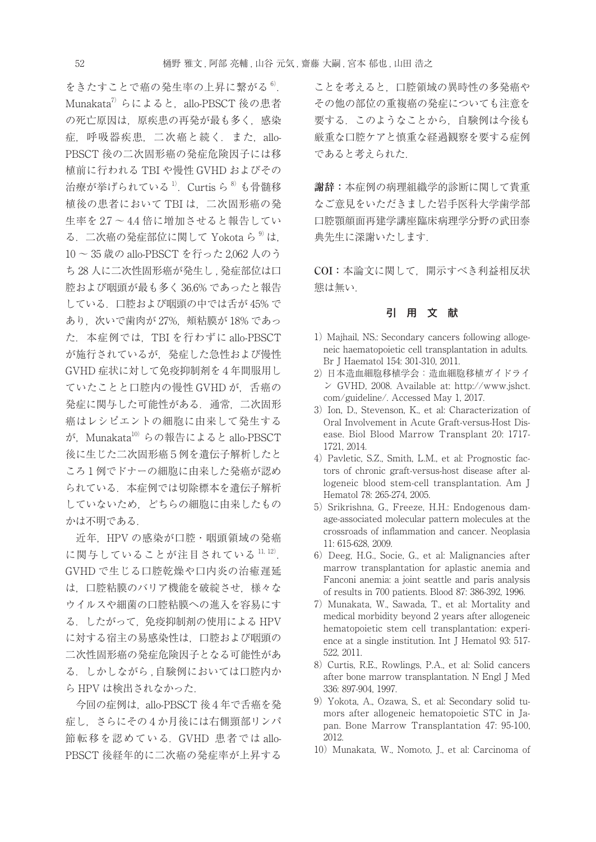をきたすことで癌の発生率の上昇に繋がる<sup>6)</sup>. Munakata<sup>7)</sup> らによると, allo-PBSCT 後の患者 の死亡原因は,原疾患の再発が最も多く,感染 症,呼吸器疾患,二次癌と続く.また,allo-PBSCT 後の二次固形癌の発症危険因子には移 植前に行われる TBI や慢性 GVHD およびその 治療が挙げられている  $^{1}$ . Curtis ら
<sup>8)</sup> も骨髄移 植後の患者において TBI は,二次固形癌の発 生率を 2.7 ~ 4.4 倍に増加させると報告してい る.二次癌の発症部位に関して Yokota ら 9)は, 10 ~ 35 歳の allo-PBSCT を行った 2,062 人のう ち 28 人に二次性固形癌が発生し、発症部位は口 腔および咽頭が最も多く 36.6% であったと報告 している.口腔および咽頭の中では舌が 45% で あり、次いで歯肉が 27%, 頬粘膜が 18% であっ た.本症例では,TBI を行わずに allo-PBSCT が施行されているが,発症した急性および慢性 GVHD 症状に対して免疫抑制剤を4年間服用し ていたことと口腔内の慢性 GVHD が,舌癌の 発症に関与した可能性がある.通常,二次固形 癌はレシピエントの細胞に由来して発生する が, Munakata<sup>10)</sup> らの報告によると allo-PBSCT 後に生じた二次固形癌5例を遺伝子解析したと ころ1例でドナーの細胞に由来した発癌が認め られている.本症例では切除標本を遺伝子解析 していないため,どちらの細胞に由来したもの かは不明である.

近年,HPV の感染が口腔・咽頭領域の発癌 に関与していることが注目されている 11, 12). GVHD で生じる口腔乾燥や口内炎の治癒遅延 は,口腔粘膜のバリア機能を破綻させ,様々な ウイルスや細菌の口腔粘膜への進入を容易にす る.したがって,免疫抑制剤の使用による HPV に対する宿主の易感染性は,口腔および咽頭の 二次性固形癌の発症危険因子となる可能性があ る.しかしながら , 自験例においては口腔内か ら HPV は検出されなかった.

今回の症例は, allo-PBSCT 後4年で舌癌を発 症し,さらにその4か月後には右側頸部リンパ 節転移を認めている.GVHD 患者では allo-PBSCT 後経年的に二次癌の発症率が上昇する

ことを考えると,口腔領域の異時性の多発癌や その他の部位の重複癌の発症についても注意を 要する. このようなことから、自験例は今後も 厳重な口腔ケアと慎重な経過観察を要する症例 であると考えられた.

**謝辞:**本症例の病理組織学的診断に関して貴重 なご意見をいただきました岩手医科大学歯学部 口腔顎顔面再建学講座臨床病理学分野の武田泰 典先生に深謝いたします.

**COI:**本論文に関して,開示すべき利益相反状 態は無い.

## 引 用 文 献

- 1) Majhail, NS.: Secondary cancers following allogeneic haematopoietic cell transplantation in adults. Br J Haematol 154: 301-310, 2011.
- 2) 日本造血細胞移植学会:造血細胞移植ガイドライ ン GVHD, 2008. Available at: http://www.jshct. com/guideline/. Accessed May 1, 2017.
- 3) Ion, D., Stevenson, K., et al: Characterization of Oral Involvement in Acute Graft-versus-Host Disease. Biol Blood Marrow Transplant 20: 1717- 1721, 2014.
- 4) Pavletic, S.Z., Smith, L.M., et al: Prognostic factors of chronic graft-versus-host disease after allogeneic blood stem-cell transplantation. Am J Hematol 78: 265-274, 2005.
- 5) Srikrishna, G., Freeze, H.H.: Endogenous damage-associated molecular pattern molecules at the crossroads of inflammation and cancer. Neoplasia 11: 615-628, 2009.
- 6)Deeg, H.G., Socie, G., et al: Malignancies after marrow transplantation for aplastic anemia and Fanconi anemia: a joint seattle and paris analysis of results in 700 patients. Blood 87: 386-392, 1996.
- 7) Munakata, W., Sawada, T., et al: Mortality and medical morbidity beyond 2 years after allogeneic hematopoietic stem cell transplantation: experience at a single institution. Int J Hematol 93: 517- 522, 2011.
- 8) Curtis, R.E., Rowlings, P.A., et al: Solid cancers after bone marrow transplantation. N Engl J Med 336: 897-904, 1997.
- 9) Yokota, A., Ozawa, S., et al: Secondary solid tumors after allogeneic hematopoietic STC in Japan. Bone Marrow Transplantation 47: 95-100, 2012.
- 10) Munakata, W., Nomoto, J., et al: Carcinoma of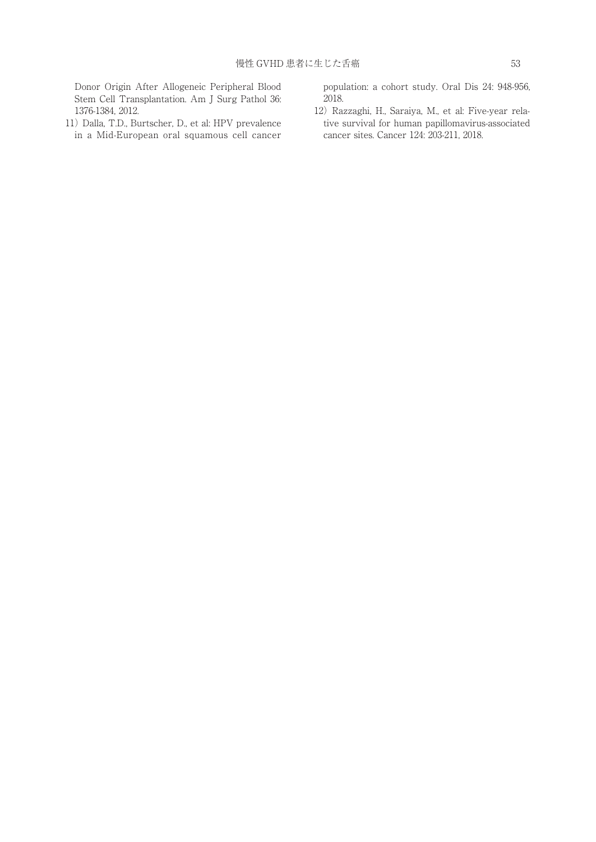Donor Origin After Allogeneic Peripheral Blood Stem Cell Transplantation. Am J Surg Pathol 36: 1376-1384, 2012.

11) Dalla, T.D., Burtscher, D., et al: HPV prevalence in a Mid-European oral squamous cell cancer population: a cohort study. Oral Dis 24: 948-956, 2018.

12) Razzaghi, H., Saraiya, M., et al: Five-year relative survival for human papillomavirus-associated cancer sites. Cancer 124: 203-211, 2018.